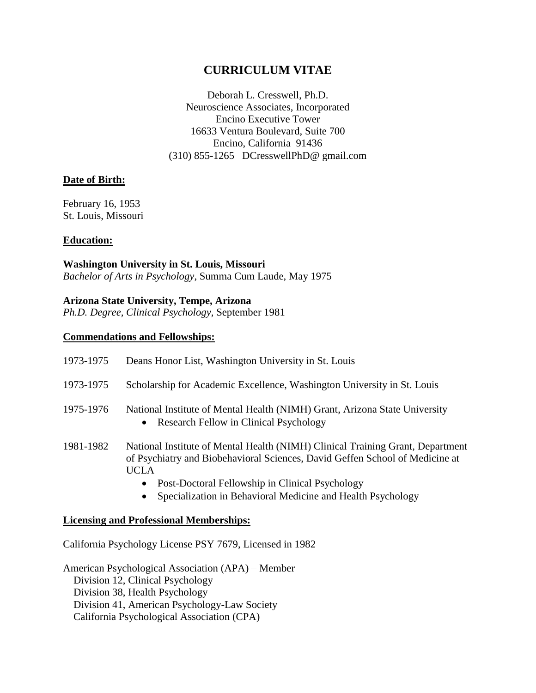# **CURRICULUM VITAE**

Deborah L. Cresswell, Ph.D. Neuroscience Associates, Incorporated Encino Executive Tower 16633 Ventura Boulevard, Suite 700 Encino, California 91436 (310) 855-1265 DCresswellPhD@ gmail.com

## **Date of Birth:**

February 16, 1953 St. Louis, Missouri

#### **Education:**

**Washington University in St. Louis, Missouri** *Bachelor of Arts in Psychology*, Summa Cum Laude, May 1975

#### **Arizona State University, Tempe, Arizona**

*Ph.D. Degree, Clinical Psychology*, September 1981

#### **Commendations and Fellowships:**

| 1973-1975 | Deans Honor List, Washington University in St. Louis                                                                                                                                                                                          |
|-----------|-----------------------------------------------------------------------------------------------------------------------------------------------------------------------------------------------------------------------------------------------|
| 1973-1975 | Scholarship for Academic Excellence, Washington University in St. Louis                                                                                                                                                                       |
| 1975-1976 | National Institute of Mental Health (NIMH) Grant, Arizona State University<br>Research Fellow in Clinical Psychology<br>$\bullet$                                                                                                             |
| 1981-1982 | National Institute of Mental Health (NIMH) Clinical Training Grant, Department<br>of Psychiatry and Biobehavioral Sciences, David Geffen School of Medicine at<br><b>UCLA</b><br>Post-Doctoral Fellowship in Clinical Psychology<br>$\bullet$ |
|           | Specialization in Behavioral Medicine and Health Psychology<br>$\bullet$                                                                                                                                                                      |

# **Licensing and Professional Memberships:**

California Psychology License PSY 7679, Licensed in 1982

American Psychological Association (APA) – Member Division 12, Clinical Psychology Division 38, Health Psychology Division 41, American Psychology-Law Society California Psychological Association (CPA)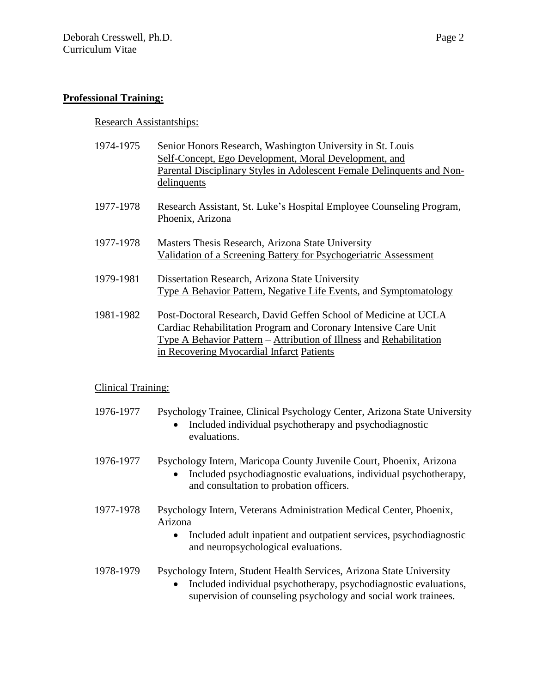## **Professional Training:**

## Research Assistantships:

- 1974-1975 Senior Honors Research, Washington University in St. Louis Self-Concept, Ego Development, Moral Development, and Parental Disciplinary Styles in Adolescent Female Delinquents and Non delinquents
- 1977-1978 Research Assistant, St. Luke's Hospital Employee Counseling Program, Phoenix, Arizona
- 1977-1978 Masters Thesis Research, Arizona State University Validation of a Screening Battery for Psychogeriatric Assessment
- 1979-1981 Dissertation Research, Arizona State University Type A Behavior Pattern, Negative Life Events, and Symptomatology
- 1981-1982 Post-Doctoral Research, David Geffen School of Medicine at UCLA Cardiac Rehabilitation Program and Coronary Intensive Care Unit Type A Behavior Pattern – Attribution of Illness and Rehabilitation in Recovering Myocardial Infarct Patients

## Clinical Training:

- 1976-1977 Psychology Trainee, Clinical Psychology Center, Arizona State University
	- Included individual psychotherapy and psychodiagnostic evaluations.

#### 1976-1977 Psychology Intern, Maricopa County Juvenile Court, Phoenix, Arizona

- Included psychodiagnostic evaluations, individual psychotherapy, and consultation to probation officers.
- 1977-1978 Psychology Intern, Veterans Administration Medical Center, Phoenix, Arizona
	- Included adult inpatient and outpatient services, psychodiagnostic and neuropsychological evaluations.
- 1978-1979 Psychology Intern, Student Health Services, Arizona State University
	- Included individual psychotherapy, psychodiagnostic evaluations, supervision of counseling psychology and social work trainees.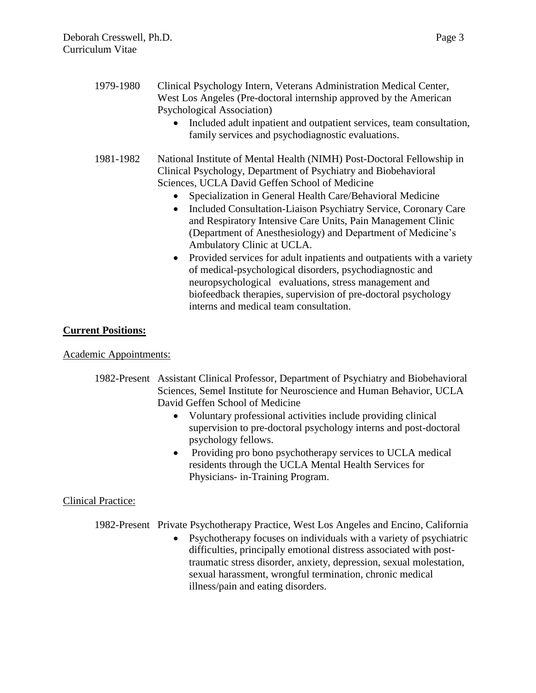- 1979-1980 Clinical Psychology Intern, Veterans Administration Medical Center, West Los Angeles (Pre-doctoral internship approved by the American Psychological Association) Included adult inpatient and outpatient services, team consultation, family services and psychodiagnostic evaluations. 1981-1982 National Institute of Mental Health (NIMH) Post-Doctoral Fellowship in
	- Clinical Psychology, Department of Psychiatry and Biobehavioral Sciences, UCLA David Geffen School of Medicine
		- Specialization in General Health Care/Behavioral Medicine
		- Included Consultation-Liaison Psychiatry Service, Coronary Care and Respiratory Intensive Care Units, Pain Management Clinic (Department of Anesthesiology) and Department of Medicine's Ambulatory Clinic at UCLA.
		- Provided services for adult inpatients and outpatients with a variety of medical-psychological disorders, psychodiagnostic and neuropsychological evaluations, stress management and biofeedback therapies, supervision of pre-doctoral psychology interns and medical team consultation.

# **Current Positions:**

## Academic Appointments:

- 1982-Present Assistant Clinical Professor, Department of Psychiatry and Biobehavioral Sciences, Semel Institute for Neuroscience and Human Behavior, UCLA David Geffen School of Medicine
	- Voluntary professional activities include providing clinical supervision to pre-doctoral psychology interns and post-doctoral psychology fellows.
	- Providing pro bono psychotherapy services to UCLA medical residents through the UCLA Mental Health Services for Physicians- in-Training Program.

# Clinical Practice:

- 1982-Present Private Psychotherapy Practice, West Los Angeles and Encino, California
	- Psychotherapy focuses on individuals with a variety of psychiatric difficulties, principally emotional distress associated with posttraumatic stress disorder, anxiety, depression, sexual molestation, sexual harassment, wrongful termination, chronic medical illness/pain and eating disorders.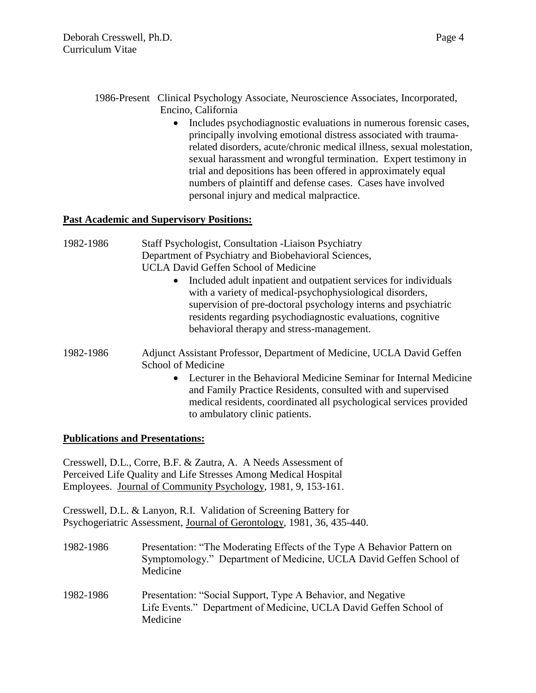• Includes psychodiagnostic evaluations in numerous forensic cases, principally involving emotional distress associated with traumarelated disorders, acute/chronic medical illness, sexual molestation, sexual harassment and wrongful termination. Expert testimony in trial and depositions has been offered in approximately equal numbers of plaintiff and defense cases. Cases have involved personal injury and medical malpractice.

## **Past Academic and Supervisory Positions:**

| 1982-1986 | <b>Staff Psychologist, Consultation - Liaison Psychiatry</b>                                                                                                                                                                                                                                                            |
|-----------|-------------------------------------------------------------------------------------------------------------------------------------------------------------------------------------------------------------------------------------------------------------------------------------------------------------------------|
|           | Department of Psychiatry and Biobehavioral Sciences,                                                                                                                                                                                                                                                                    |
|           | <b>UCLA David Geffen School of Medicine</b>                                                                                                                                                                                                                                                                             |
|           | Included adult inpatient and outpatient services for individuals<br>$\bullet$<br>with a variety of medical-psychophysiological disorders,<br>supervision of pre-doctoral psychology interns and psychiatric<br>residents regarding psychodiagnostic evaluations, cognitive<br>behavioral therapy and stress-management. |
| 1982-1986 | Adjunct Assistant Professor, Department of Medicine, UCLA David Geffen<br>School of Medicine                                                                                                                                                                                                                            |
|           | Lecturer in the Behavioral Medicine Seminar for Internal Medicine<br>$\bullet$<br>and Family Practice Residents, consulted with and supervised<br>medical residents, coordinated all psychological services provided<br>to ambulatory clinic patients.                                                                  |

## **Publications and Presentations:**

Cresswell, D.L., Corre, B.F. & Zautra, A. A Needs Assessment of Perceived Life Quality and Life Stresses Among Medical Hospital Employees. Journal of Community Psychology, 1981, 9, 153-161.

Cresswell, D.L. & Lanyon, R.I. Validation of Screening Battery for Psychogeriatric Assessment, Journal of Gerontology, 1981, 36, 435-440.

- 1982-1986 Presentation: "The Moderating Effects of the Type A Behavior Pattern on Symptomology." Department of Medicine, UCLA David Geffen School of Medicine
- 1982-1986 Presentation: "Social Support, Type A Behavior, and Negative Life Events." Department of Medicine, UCLA David Geffen School of Medicine